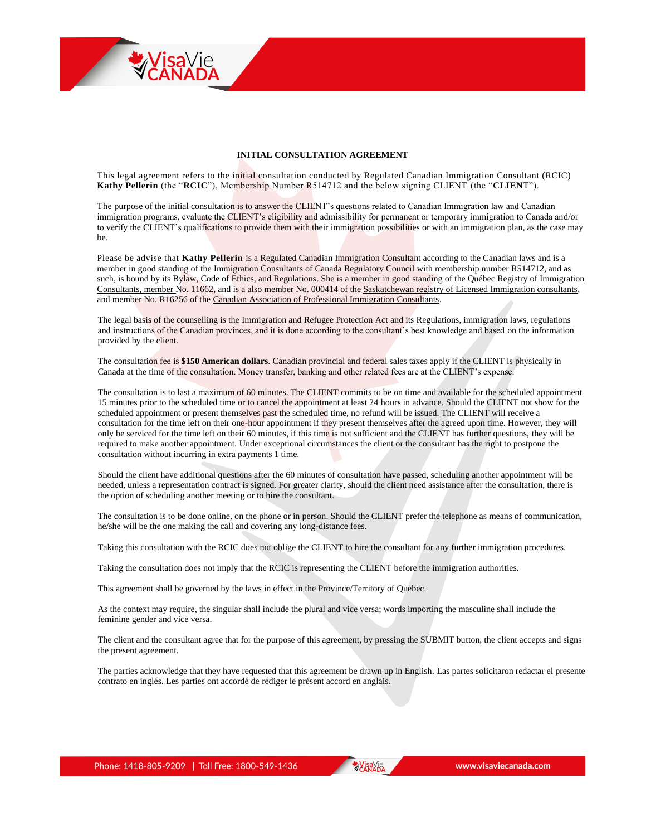## **INITIAL CONSULTATION AGREEMENT**

This legal agreement refers to the initial consultation conducted by Regulated Canadian Immigration Consultant (RCIC) **Kathy Pellerin** (the "**RCIC**"), Membership Number R514712 and the below signing CLIENT (the "**CLIEN**T").

The purpose of the initial consultation is to answer the CLIENT's questions related to Canadian Immigration law and Canadian immigration programs, evaluate the CLIENT's eligibility and admissibility for permanent or temporary immigration to Canada and/or to verify the CLIENT's qualifications to provide them with their immigration possibilities or with an immigration plan, as the case may be.

Please be advise that **Kathy Pellerin** is a Regulated Canadian Immigration Consultant according to the Canadian laws and is a member in good standing of the [Immigration Consultants of Canada Regulatory Council](http://secure.iccrc-crcic.ca/search-new/EN) with membership number R514712, and as such, is bound by its Bylaw, Code of Ethics, and Regulations. She is a member in good standing of the Québec Registry of Immigration [Consultants,](http://www.micc.gouv.qc.ca/publications/fr/dossiers/Registre_Consultants.pdf) member No. 11662, and is a also member No. 000414 of the [Saskatchewan registry of Licensed Immigration consultants,](https://www.saskatchewan.ca/residents/moving-to-saskatchewan/immigrating-to-saskatchewan/immigration-consultant-and-foreign-worker-recruiter-licensing-and-responsibilities) and member No. R16256 of the [Canadian Association of Professional Immigration Consultants.](https://www.capic.ca/EN/ActiveMembersList)

The legal basis of the counselling is the [Immigration and Refugee Protection Act](http://lois-laws.justice.gc.ca/eng/acts/I-2.5/) and its [Regulations,](http://lois-laws.justice.gc.ca/eng/regulations/SOR-2002-227/FullText.html) immigration laws, regulations and instructions of the Canadian provinces, and it is done according to the consultant's best knowledge and based on the information provided by the client.

The consultation fee is **\$150 American dollars**. Canadian provincial and federal sales taxes apply if the CLIENT is physically in Canada at the time of the consultation. Money transfer, banking and other related fees are at the CLIENT's expense.

The consultation is to last a maximum of 60 minutes. The CLIENT commits to be on time and available for the scheduled appointment 15 minutes prior to the scheduled time or to cancel the appointment at least 24 hours in advance. Should the CLIENT not show for the scheduled appointment or present themselves past the scheduled time, no refund will be issued. The CLIENT will receive a consultation for the time left on their one-hour appointment if they present themselves after the agreed upon time. However, they will only be serviced for the time left on their 60 minutes, if this time is not sufficient and the CLIENT has further questions, they will be required to make another appointment. Under exceptional circumstances the client or the consultant has the right to postpone the consultation without incurring in extra payments 1 time.

Should the client have additional questions after the 60 minutes of consultation have passed, scheduling another appointment will be needed, unless a representation contract is signed. For greater clarity, should the client need assistance after the consultation, there is the option of scheduling another meeting or to hire the consultant.

The consultation is to be done online, on the phone or in person. Should the CLIENT prefer the telephone as means of communication, he/she will be the one making the call and covering any long-distance fees.

Taking this consultation with the RCIC does not oblige the CLIENT to hire the consultant for any further immigration procedures.

Taking the consultation does not imply that the RCIC is representing the CLIENT before the immigration authorities.

This agreement shall be governed by the laws in effect in the Province/Territory of Quebec.

As the context may require, the singular shall include the plural and vice versa; words importing the masculine shall include the feminine gender and vice versa.

The client and the consultant agree that for the purpose of this agreement, by pressing the SUBMIT button, the client accepts and signs the present agreement.

The parties acknowledge that they have requested that this agreement be drawn up in English. Las partes solicitaron redactar el presente contrato en inglés. Les parties ont accordé de rédiger le présent accord en anglais.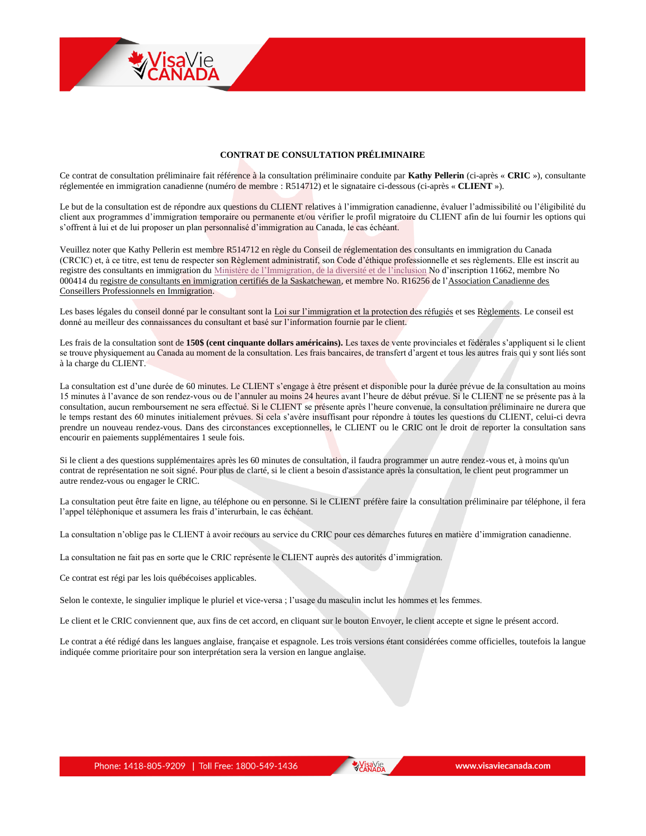## **CONTRAT DE CONSULTATION PRÉLIMINAIRE**

Ce contrat de consultation préliminaire fait référence à la consultation préliminaire conduite par **Kathy Pellerin** (ci-après « **CRIC** »), consultante réglementée en immigration canadienne (numéro de membre : R514712) et le signataire ci-dessous (ci-après « **CLIENT** »).

Le but de la consultation est de répondre aux questions du CLIENT relatives à l'immigration canadienne, évaluer l'admissibilité ou l'éligibilité du client aux programmes d'immigration temporaire ou permanente et/ou vérifier le profil migratoire du CLIENT afin de lui fournir les options qui s'offrent à lui et de lui proposer un plan personnalisé d'immigration au Canada, le cas échéant.

Veuillez noter que Kathy Pellerin est membre R514712 en règle du Conseil de réglementation des consultants en immigration du Canada (CRCIC) et, à ce titre, est tenu de respecter son Règlement administratif, son Code d'éthique professionnelle et ses règlements. Elle est inscrit au registre des consultants en immigration du [Ministère de l'Immigration, de la diversité](http://www.micc.gouv.qc.ca/publications/fr/dossiers/Registre_Consultants.pdf) et de l'inclusion No d'inscription 11662, membre No 000414 du [registre de consultants en immigration certifiés de la Saskatchewan,](http://www.economy.gov.sk.ca/immigration/licensed-immigration-consultants) et membre No. R16256 de l['Association Canadienne des](http://www.capic.ca/)  [Conseillers Professionnels en Immigration.](http://www.capic.ca/)

Les bases légales du conseil donné par le consultant sont la [Loi sur l'immigration et la protection des réfugiés](http://lois-laws.justice.gc.ca/fra/lois/I-2.5/) et ses [Règlements.](http://lois-laws.justice.gc.ca/fra/reglements/DORS-2002-227/TexteComplet.html) Le conseil est donné au meilleur des connaissances du consultant et basé sur l'information fournie par le client.

Les frais de la consultation sont de 150\$ (cent cinquante dollars américains). Les taxes de vente provinciales et fédérales s'appliquent si le client se trouve physiquement au Canada au moment de la consultation. Les frais bancaires, de transfert d'argent et tous les autres frais qui y sont liés sont à la charge du CLIENT.

La consultation est d'une durée de 60 minutes. Le CLIENT s'engage à être présent et disponible pour la durée prévue de la consultation au moins 15 minutes à l'avance de son rendez-vous ou de l'annuler au moins 24 heures avant l'heure de début prévue. Si le CLIENT ne se présente pas à la consultation, aucun remboursement ne sera effectué. Si le CLIENT se présente après l'heure convenue, la consultation préliminaire ne durera que le temps restant des 60 minutes initialement prévues. Si cela s'avère insuffisant pour répondre à toutes les questions du CLIENT, celui-ci devra prendre un nouveau rendez-vous. Dans des circonstances exceptionnelles, le CLIENT ou le CRIC ont le droit de reporter la consultation sans encourir en paiements supplémentaires 1 seule fois.

Si le client a des questions supplémentaires après les 60 minutes de consultation, il faudra programmer un autre rendez-vous et, à moins qu'un contrat de représentation ne soit signé. Pour plus de clarté, si le client a besoin d'assistance après la consultation, le client peut programmer un autre rendez-vous ou engager le CRIC.

La consultation peut être faite en ligne, au téléphone ou en personne. Si le CLIENT préfère faire la consultation préliminaire par téléphone, il fera l'appel téléphonique et assumera les frais d'interurbain, le cas échéant.

La consultation n'oblige pas le CLIENT à avoir recours au service du CRIC pour ces démarches futures en matière d'immigration canadienne.

La consultation ne fait pas en sorte que le CRIC représente le CLIENT auprès des autorités d'immigration.

Ce contrat est régi par les lois québécoises applicables.

Selon le contexte, le singulier implique le pluriel et vice-versa ; l'usage du masculin inclut les hommes et les femmes.

Le client et le CRIC conviennent que, aux fins de cet accord, en cliquant sur le bouton Envoyer, le client accepte et signe le présent accord.

Le contrat a été rédigé dans les langues anglaise, française et espagnole. Les trois versions étant considérées comme officielles, toutefois la langue indiquée comme prioritaire pour son interprétation sera la version en langue anglaise.